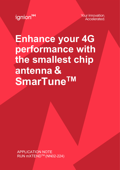ignion<sup>M</sup>

Your innovation. **Accelerated** 

**Enhance your 4G performance with the smallest chip antenna & SmarTuneTM**

APPLICATION NOTE RUN mXTEND™ (NN02-224)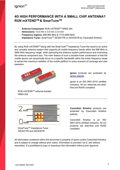

### **4G HIGH PERFORMANCE WITH A SMALL CHIP ANTENNA? RUN mXTENDTM & SmarTuneTM**

- **Antenna Component:** RUN mXTENDTM NN02-244
- **Dimensions:** 12.0 mm x 3.0 mm x 2.4 mm
- **Frequency regions:** 698-960 MHz & 1710-2690 MHz **Impedance Tuner:** SmarTuneTM 32CK417R or 32CK301R by Cavendish Kinetics

By using RUN mXTEND™ along with the SmarTune™ Impedance Tuner the result is an active and versatile antenna system that supports all mobile frequency bands within the 698 MHz to 2690 MHz frequency range, while optimizing the antenna system performance and minimizing the antenna component size. The main feature of such a booster-tuner combination is that the mobile device can dynamically focus on a specific bandwidth within the entire frequency range to extract the maximum radiation of the mobile platform in every scenario of coverage and user operation.



**Ignion** products are protected by [Ignion patents.](https://ignion.io/files/Patent-list-NN.pdf)

Ignion is an ISO 9001:2015 certified company. All our antennas are leadfree and RoHS compliant.

RUN mXTENDTM antenna booster NN02-224



SmarTune<sup>™</sup> Impedance Tuner 32CK417R and 32CK301R

**Cavendish Kinetics** products are protected by Cavendish Kinetics patents.

Cavendish Kinetics is an ISO 9001:2015 certified company. All our products are lead-free and RoHS compliant.

All information contained within this document is property of Ignion and/or Cavendish-Kinetics and is subject to change without prior notice. Information is provided "as is" and without warranties. It is prohibited to copy or reproduce this information without prior approval.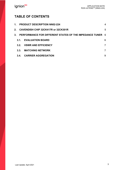### **TABLE OF CONTENTS**

|    | 1 <sup>1</sup>   | <b>PRODUCT DESCRIPTION NN02-224</b>                       | 4 |
|----|------------------|-----------------------------------------------------------|---|
|    |                  | 2. CAVENDISH CHIP 32CK417R or 32CK301R                    | 5 |
| 3. |                  | PERFORMANCE FOR DIFFERENT STATES OF THE IMPEDANCE TUNER 6 |   |
|    | 3.1              | <b>EVALUATION BOARD</b>                                   | 6 |
|    | 3.2 <sub>1</sub> | <b>VSWR AND EFFICIENCY</b>                                |   |
|    | 3.3.             | <b>MATCHING NETWORK</b>                                   | 7 |
|    | 3.4.             | <b>CARRIER AGGREGATION</b>                                | 9 |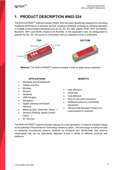# **1. PRODUCT DESCRIPTION NN02-224**

The RUN mXTENDTM antenna booster (NN02-224) has been specifically designed for providing multiband performance in wireless devices, enabling worldwide coverage by allowing operation in multiple communication standards such as 2G, 3G, 4G, ISM, Zigbee, RFID, GPS, GLONASS, Bluetooth, WIFI, and WLAN, thanks to its flexibility. In this application note, its configuration to operate the 2G, 3G, 4G bands in combination with an impedance tuner is presented.



**Material:** The RUN mXTEND<sup>™</sup> antenna booster is built on glass epoxy substrate.

#### **APPLICATIONS BENEFITS**

- Handsets and Smartphones
- Tablets and PCs
- Modules
- Routers
- Headsets
- USB Dongles
- **Navigators**
- Digital Cameras and Smart Watches
- Metering (Gas, Electricity, Water...)
- Sensors (Parking, Speed Control, Optics…)
- **IoT** Devices

- High efficiency
- Small size
- Cost-effective
- Easy-to-use (pick and place)
- Multiband behaviour (worldwide standards)
- Off-the-Shelf Standard Product (no customization is required)

The RUN mXTENDTM antenna booster belongs to a new generation of antenna solutions based on the patented Virtual Antenna® technology owned by Ignion. The technology is mainly focused on replacing conventional antenna solutions by miniature and off-the-shelf chip antenna components that can be seamlessly deployed across a variety of different products and platforms.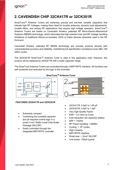# **2. CAVENDISH CHIP 32CK417R or 32CK301R**

SmarTune™ Antenna Tuners are extremely precise and low-loss variable capacitors that tolerate high RF Voltages, making them ideal for tunable antennas, dynamic load adjustments, tunable filters, and analog RF applications that require high voltage operation. SmarTune<sup>™</sup> Antenna Tuners are based on Cavendish Kinetics' patented RF Micro-Electro-Mechanical Systems (MEMS) technology, which eliminates the high insertion loss and RF Voltage handling limitations of traditional Silicon-on-Insulator (SOI) or GaAs devices otherwise used in the RF front-end.

Cavendish Kinetics' patented RF MEMS technology and process produce devices with unprecedented accuracy and reliability, maintaining full specification compliance even after 100 billion cycles.

The 32CK301R SmarTune™ Antenna Tuner is used in this application note. However, this product will be replaced by 32CK417R with a wider capacitor range.

The SmarTune Antenna Tuners are controlled through a MIPI RFFE interface. All functions are self-contained and executed by the logic in the controller.



#### **FEATURES 32CK417R and 32CK301R**

- Extremely compact
- Combining the tuneable capacitor and all required control logic in a small 2 mm<sup>2</sup> Wafer-Level-Chip-Scale Package (WLCSP)
- Easily controlled through the integrated MIPI RFFE controller



- 32CK417R: 0.5pF to 1.65 pF
- 32CK301R: 0.4pF to 1.0pF
- Very high-Quality Factor
- $ESR \sim 0.3$  Ohm at Cmax
- 5-bit resolution (32 capacitor states)
- SRF > 15GHz
- RF Power handling: +39dBm
- Cycling:  $> 10<sup>9</sup>$  cycles
- **High Linearity**
- MIPI RFFE interface
- Small size:  $\sim$  2mm<sup>2</sup> WLCSP
- Low power: 100µA typical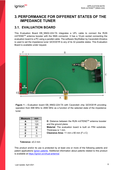## **3. PERFORMANCE FOR DIFFERENT STATES OF THE IMPEDANCE TUNER**

#### **3.1. EVALUATION BOARD**

This Evaluation Board EB NN02-224-TA integrates a UFL cable to connect the RUN mXTENDTM antenna booster with the SMA connector. It has a 10-pin socket connecting the evaluation board to a PC using a parallel cable. The software SkyWalker by Cavendish-Kinetics is used to set the impedance tuner 32CK301R to any of its 32 possible states. This Evaluation Board is available under request.



<span id="page-5-0"></span>**Figure 1 –** Evaluation board EB\_NN02-224-TA with Cavendish chip 32CK301R providing operation from 698 MHz to 2690 MHz as a function of the selected state of the impedance tuner.

| Measure | mm  |
|---------|-----|
| А       | 131 |
| в       | 120 |
| C       | 60  |
| D       | 8   |
| E       | 5   |
| F       | 11  |

**D**: Distance between the RUN mXTEND™ antenna booster and the ground plane.

**Material**: The evaluation board is built on FR4 substrate. Thickness is 1 mm.

**Clearance Area:** 11 mm x 60 mm (F x C)

#### **Tolerance**: ±0.2 mm

This product and/or its use is protected by at least one or more of the following patents and patent applications *Ignion patents*. Additional information about patents related to this product is available at [https://ignion.io/virtual-antenna/.](https://ignion.io/virtual-antenna/)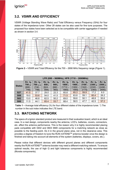#### **3.2. VSWR AND EFFICIENCY**

VSWR (Voltage Standing Wave Ratio) and Total Efficiency versus Frequency (GHz) for four states of the impedance tuner. Other 28 states can be also used for fine tune purposes. The proposed four states have been selected as to be compatible with carrier aggregation if needed as shown in section 3.4.



**Figure 2 –** VSWR and Total Efficiency for the 700 – 2690 MHz frequency range [\(Figure 1\)](#page-5-0).

|               | LFR (698 - 960MHz), HFR (1710 - 2690MHz)     |                                              |                                           |                                                        |                                                |                                                 |                                                |                                                  |                                               |
|---------------|----------------------------------------------|----------------------------------------------|-------------------------------------------|--------------------------------------------------------|------------------------------------------------|-------------------------------------------------|------------------------------------------------|--------------------------------------------------|-----------------------------------------------|
| <b>States</b> | $Av.$ η $a$<br>$700_{12*}$<br>[699 -<br>7461 | $Av.$ $n_a$<br>700 13,14<br>$[746 -$<br>7981 | Av. $\eta_a$<br>850 5<br>$[824 -$<br>8941 | $Av.$ $\eta_a$<br>900 <sub>8</sub><br>$[880 -$<br>9601 | $Av. \eta_a$<br>$1800_3$<br>$[1710 -$<br>1880] | $Av. \eta_a$<br>1900 $_2$<br>$[1850 -$<br>19901 | $Av. \eta_a$<br>$2100_1$<br>$[1920 -$<br>21701 | $Av.$ $n_a$<br>$2300_{30}$<br>$[2305 -$<br>23601 | $Av. \eta_a$<br>2500 41<br>$[2496 -$<br>2690] |
| <b>S27</b>    | 41.5                                         | 37.7                                         | 29.0                                      | 22.3                                                   | 65.8                                           | 65.3                                            | 59.9                                           | 17.2                                             | 6.0                                           |
| <b>S08</b>    | 19.0                                         | 53.6                                         | 54.0                                      | 41.5                                                   | 71.5                                           | 63.8                                            | 59.1                                           | 60.4                                             | 26.2                                          |
| <b>S02</b>    | 13.0                                         | 46.8                                         | 62.5                                      | 50.2                                                   | 69.0                                           | 59.6                                            | 50.1                                           | 48.8                                             | 50.6                                          |
| <b>S00</b>    | 11.5                                         | 44.1                                         | 65.4                                      | 53.7                                                   | 68.4                                           | 58.5                                            | 47.7                                           | 42.5                                             | 57.2                                          |

**Table 1 –** Average total efficiency (%) for four different states of the impedance tuner. \*) The number in the sub index indicates the LTE band.

### **3.3. MATCHING NETWORK**

The specs of a Ignion standard product are measured in their evaluation board, which is an ideal case. In a real design, components nearby the antenna, LCD's, batteries, covers, connectors, etc. affect the antenna performance. This is the reason why it is highly recommended placing pads compatible with 0402 and 0603 SMD components for a matching network as close as possible to the feeding point. Do it in the ground plane area, not in the clearance area. This provides a degree of freedom to tune the RUN mXTEND™ antenna booster once the design is finished and taking into account all elements of the system (batteries, displays, covers, etc.).

Please notice that different devices with different ground planes and different components nearby the RUN mXTENDTM antenna booster may need a different matching network. To ensure optimal results, the use of high Q and tight tolerance components is highly recommended (Murata components).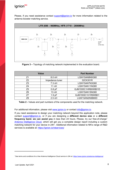# ignion<sup>N</sup>

Please, if you need assistance contact  $\frac{\text{support}(Q)}{\text{q}}$  for more information related to the antenna booster matching service.



**Figure 3 –** Topology of matching network implemented in the evaluation board.

|                | <b>Value</b>      | <b>Part Number</b> |
|----------------|-------------------|--------------------|
| Z1             | $8.0$ nH          | LQW15AN8N0G80      |
| Z <sub>2</sub> | Impedance tuner   | 32CK301R           |
| Z <sub>3</sub> | $7.3$ nH          | LQW15AN7N3G80      |
| Z <sub>4</sub> | 11nH              | LQW15AN11NG80      |
| Z <sub>5</sub> | $0.8$ pF          | GJM1555C1HR80WB01D |
| Z <sub>6</sub> | 13nH              | LQW15AN13NG80      |
| Z7             | 1.9 <sub>pF</sub> | GJM1555C1H1R9WB01  |
| Z8             | $2.5$ nH          | LQW15AN2N5B80D     |

**Table 2 -** Values and part numbers of the components used for the matching network.

For additional information, please visit [www.ignion.io](http://www.ignion.io/) or contact [info@ignion.io.](mailto:info@ignion.io)

If you need assistance to design your matching network beyond this application note, please contact [support@ignion.io,](mailto:support@ignion.io) or if you are designing a **different device size** or a **different frequency band, we can assist you** in less than 24 hours. Please, try our free-of-charge<sup>1</sup> [Antenna Intelligence Cloud,](https://www.ignion.io/antenna-intelligence/) which will get you a complete design report including a custom matching network for your device in 24h<sup>[1](#page-7-0)</sup>. Additional information related to NN's range of R&D services is available at:<https://ignion.io/rdservices/>

<span id="page-7-0"></span><sup>1</sup> See terms and conditions for a free Antenna Intelligence Cloud service in 24h at: <https://www.ignion.io/antenna-intelligence/>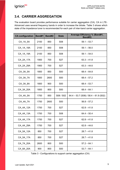#### **3.4. CARRIER AGGREGATION**

The evaluation board provides performance suitable for carrier aggregation (CA). CA in LTE-Advanced uses several frequency bands in order to increase the bitrate. [Table 3](#page-8-0) shows which state of the impedance tuner is recommended for each pair of inter-band carrier aggregation.

| <b>CA</b> configuration | Band#1 | Band#2 | <b>State</b>     | Average Efficiency % (Band#1,<br>Band#2) |
|-------------------------|--------|--------|------------------|------------------------------------------|
| CA 1A 5A                | 2100   | 850    | <b>S08</b>       | $59.1 - 53.7$                            |
| CA_1A_18A               | 2100   | 850    | <b>S08</b>       | $59.1 - 56.0$                            |
| CA_1A_19A               | 2100   | 850    | <b>S08</b>       | $59.1 - 54.0$                            |
| CA 2A 17A               | 1900   | 700    | S27              | $63.3 - 41.8$                            |
| CA 2A 29A               | 1900   | 700    | S27              | $63.3 - 44.6$                            |
| CA 3A 5A                | 1800   | 850    | <b>S00</b>       | $68.4 - 64.8$                            |
| CA 3A 7A                | 1800   | 2600   | <b>S00</b>       | $68.4 - 57.2$                            |
| CA 3A 8A                | 1800   | 900    | <b>S00</b>       | $68.4 - 53.7$                            |
| CA_3A_20A               | 1800   | 800    | <b>S00</b>       | $68.4 - 64.1$                            |
| CA 4A 5A                | 1700   | 850    | S08 / S02        | $64.4 - 53.7$ (S08) / 58.4 - 61.9 (S02)  |
| CA 4A 7A                | 1700   | 2600   | <b>S00</b>       | $56.8 - 57.2$                            |
| CA_4A_12A               | 1700   | 700    | S <sub>27</sub>  | $62.8 - 41.8$                            |
| CA_4A_13A               | 1700   | 700    | S <sub>0</sub> 8 | $64.4 - 50.4$                            |
| CA 4A 17A               | 1700   | 700    | S27              | $62.8 - 41.8$                            |
| CA_4A_29A               | 1700   | 700    | S27              | $62.8 - 44.6$                            |
| CA_5A_12A               | 850    | 700    | S27              | $28.7 - 41.8$                            |
| CA_5A_17A               | 850    | 700    | S27              | $28.7 - 41.8$                            |
| CA 7A 20A               | 2600   | 800    | <b>S00</b>       | $57.2 - 64.1$                            |
| CA 8A 20A               | 900    | 800    | <b>S00</b>       | $53.7 - 64.1$                            |

<span id="page-8-0"></span>Table 3 - Configurations to support carrier aggregation (CA)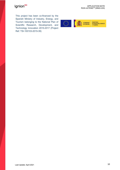# ignion<sup>M</sup>

This project has been co-financed by the Spanish Ministry of Industry, Energy, and Tourism belonging to the National Plan of Scientific Research, Development, and Technology Innovation 2015-2017 (Project Ref: TSI-100103-2015-39)